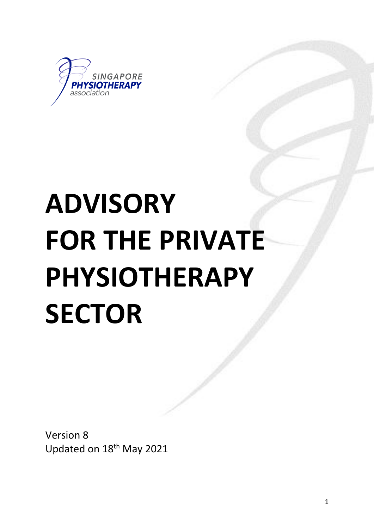

# **ADVISORY FOR THE PRIVATE PHYSIOTHERAPY SECTOR**

Version 8 Updated on 18th May 2021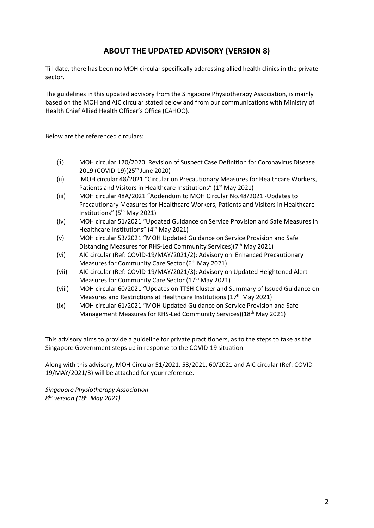## **ABOUT THE UPDATED ADVISORY (VERSION 8)**

Till date, there has been no MOH circular specifically addressing allied health clinics in the private sector.

The guidelines in this updated advisory from the Singapore Physiotherapy Association, is mainly based on the MOH and AIC circular stated below and from our communications with Ministry of Health Chief Allied Health Officer's Office (CAHOO).

Below are the referenced circulars:

- (i) MOH circular 170/2020: Revision of Suspect Case Definition for Coronavirus Disease 2019 (COVID-19)(25<sup>th</sup> June 2020)
- (ii) MOH circular 48/2021 "Circular on Precautionary Measures for Healthcare Workers, Patients and Visitors in Healthcare Institutions" (1<sup>st</sup> May 2021)
- (iii) MOH circular 48A/2021 "Addendum to MOH Circular No.48/2021 -Updates to Precautionary Measures for Healthcare Workers, Patients and Visitors in Healthcare Institutions" (5th May 2021)
- (iv) MOH circular 51/2021 "Updated Guidance on Service Provision and Safe Measures in Healthcare Institutions" (4<sup>th</sup> May 2021)
- (v) MOH circular 53/2021 "MOH Updated Guidance on Service Provision and Safe Distancing Measures for RHS-Led Community Services)(7<sup>th</sup> May 2021)
- (vi) AIC circular (Ref: COVID-19/MAY/2021/2): Advisory on Enhanced Precautionary Measures for Community Care Sector ( $6<sup>th</sup>$  May 2021)
- (vii) AIC circular (Ref: COVID-19/MAY/2021/3): Advisory on Updated Heightened Alert Measures for Community Care Sector (17<sup>th</sup> May 2021)
- (viii) MOH circular 60/2021 "Updates on TTSH Cluster and Summary of Issued Guidance on Measures and Restrictions at Healthcare Institutions ( $17<sup>th</sup>$  May 2021)
- (ix) MOH circular 61/2021 "MOH Updated Guidance on Service Provision and Safe Management Measures for RHS-Led Community Services)(18th May 2021)

This advisory aims to provide a guideline for private practitioners, as to the steps to take as the Singapore Government steps up in response to the COVID-19 situation.

Along with this advisory, MOH Circular 51/2021, 53/2021, 60/2021 and AIC circular (Ref: COVID-19/MAY/2021/3) will be attached for your reference.

*Singapore Physiotherapy Association 8th version (18th May 2021)*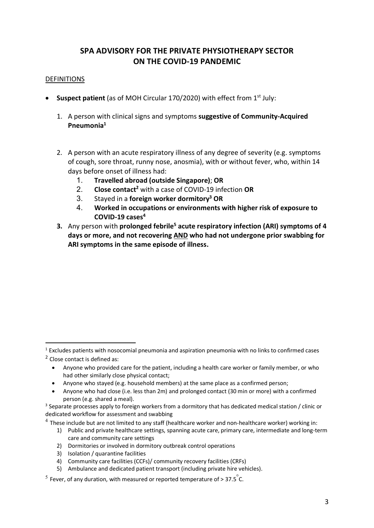# **SPA ADVISORY FOR THE PRIVATE PHYSIOTHERAPY SECTOR ON THE COVID-19 PANDEMIC**

#### DEFINITIONS

- Suspect patient (as of MOH Circular 170/2020) with effect from 1<sup>st</sup> July:
	- 1. A person with clinical signs and symptoms **suggestive of Community-Acquired Pneumonia1**
	- 2. A person with an acute respiratory illness of any degree of severity (e.g. symptoms of cough, sore throat, runny nose, anosmia), with or without fever, who, within 14 days before onset of illness had:
		- 1. **Travelled abroad (outside Singapore)**; **OR**
		- 2. **Close contact2** with a case of COVID-19 infection **OR**
		- 3. Stayed in a **foreign worker dormitory3 OR**
		- 4. **Worked in occupations or environments with higher risk of exposure to COVID-19 cases4**
	- **3.** Any person with **prolonged febrile<sup>5</sup> acute respiratory infection (ARI) symptoms of 4 days or more, and not recovering AND who had not undergone prior swabbing for ARI symptoms in the same episode of illness.**

- Anyone who provided care for the patient, including a health care worker or family member, or who had other similarly close physical contact;
- Anyone who stayed (e.g. household members) at the same place as a confirmed person;
- Anyone who had close (i.e. less than 2m) and prolonged contact (30 min or more) with a confirmed

- 1) Public and private healthcare settings, spanning acute care, primary care, intermediate and long-term care and community care settings
- 2) Dormitories or involved in dormitory outbreak control operations
- 3) Isolation / quarantine facilities
- 4) Community care facilities (CCFs)/ community recovery facilities (CRFs)
- 5) Ambulance and dedicated patient transport (including private hire vehicles).

 $5$  Fever, of any duration, with measured or reported temperature of > 37.5 $\degree$ C.

 $1$  Excludes patients with nosocomial pneumonia and aspiration pneumonia with no links to confirmed cases

<sup>2</sup> Close contact is defined as:

person (e.g. shared a meal).<br>3 Separate processes apply to foreign workers from a dormitory that has dedicated medical station / clinic or dedicated workflow for assessment and swabbing

 $4$  These include but are not limited to any staff (healthcare worker and non-healthcare worker) working in: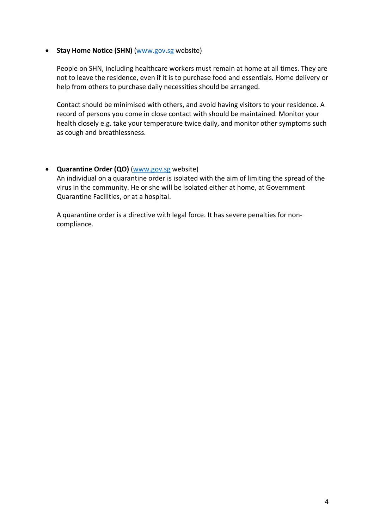#### • **Stay Home Notice (SHN)** (www.gov.sg website)

People on SHN, including healthcare workers must remain at home at all times. They are not to leave the residence, even if it is to purchase food and essentials. Home delivery or help from others to purchase daily necessities should be arranged.

Contact should be minimised with others, and avoid having visitors to your residence. A record of persons you come in close contact with should be maintained. Monitor your health closely e.g. take your temperature twice daily, and monitor other symptoms such as cough and breathlessness.

#### • **Quarantine Order (QO)** (www.gov.sg website)

An individual on a quarantine order is isolated with the aim of limiting the spread of the virus in the community. He or she will be isolated either at home, at Government Quarantine Facilities, or at a hospital.

A quarantine order is a directive with legal force. It has severe penalties for noncompliance.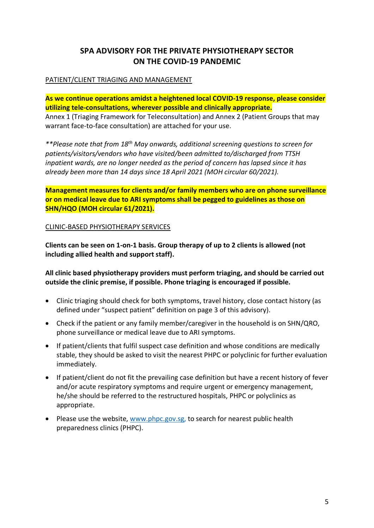# **SPA ADVISORY FOR THE PRIVATE PHYSIOTHERAPY SECTOR ON THE COVID-19 PANDEMIC**

### PATIENT/CLIENT TRIAGING AND MANAGEMENT

**As we continue operations amidst a heightened local COVID-19 response, please consider utilizing tele-consultations, wherever possible and clinically appropriate.** Annex 1 (Triaging Framework for Teleconsultation) and Annex 2 (Patient Groups that may warrant face-to-face consultation) are attached for your use.

*\*\*Please note that from 18th May onwards, additional screening questions to screen for patients/visitors/vendors who have visited/been admitted to/discharged from TTSH inpatient wards, are no longer needed as the period of concern has lapsed since it has already been more than 14 days since 18 April 2021 (MOH circular 60/2021).*

**Management measures for clients and/or family members who are on phone surveillance or on medical leave due to ARI symptoms shall be pegged to guidelines as those on SHN/HQO (MOH circular 61/2021).**

CLINIC-BASED PHYSIOTHERAPY SERVICES

**Clients can be seen on 1-on-1 basis. Group therapy of up to 2 clients is allowed (not including allied health and support staff).**

**All clinic based physiotherapy providers must perform triaging, and should be carried out outside the clinic premise, if possible. Phone triaging is encouraged if possible.**

- Clinic triaging should check for both symptoms, travel history, close contact history (as defined under "suspect patient" definition on page 3 of this advisory).
- Check if the patient or any family member/caregiver in the household is on SHN/QRO, phone surveillance or medical leave due to ARI symptoms.
- If patient/clients that fulfil suspect case definition and whose conditions are medically stable, they should be asked to visit the nearest PHPC or polyclinic for further evaluation immediately.
- If patient/client do not fit the prevailing case definition but have a recent history of fever and/or acute respiratory symptoms and require urgent or emergency management, he/she should be referred to the restructured hospitals, PHPC or polyclinics as appropriate.
- Please use the website, www.phpc.gov.sg, to search for nearest public health preparedness clinics (PHPC).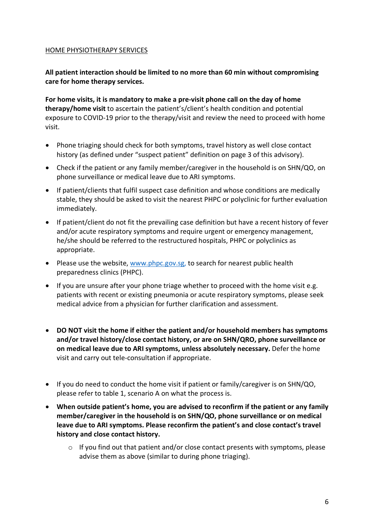#### HOME PHYSIOTHERAPY SERVICES

## **All patient interaction should be limited to no more than 60 min without compromising care for home therapy services.**

**For home visits, it is mandatory to make a pre-visit phone call on the day of home therapy/home visit** to ascertain the patient's/client's health condition and potential exposure to COVID-19 prior to the therapy/visit and review the need to proceed with home visit.

- Phone triaging should check for both symptoms, travel history as well close contact history (as defined under "suspect patient" definition on page 3 of this advisory).
- Check if the patient or any family member/caregiver in the household is on SHN/QO, on phone surveillance or medical leave due to ARI symptoms.
- If patient/clients that fulfil suspect case definition and whose conditions are medically stable, they should be asked to visit the nearest PHPC or polyclinic for further evaluation immediately.
- If patient/client do not fit the prevailing case definition but have a recent history of fever and/or acute respiratory symptoms and require urgent or emergency management, he/she should be referred to the restructured hospitals, PHPC or polyclinics as appropriate.
- Please use the website, www.phpc.gov.sg, to search for nearest public health preparedness clinics (PHPC).
- If you are unsure after your phone triage whether to proceed with the home visit e.g. patients with recent or existing pneumonia or acute respiratory symptoms, please seek medical advice from a physician for further clarification and assessment.
- **DO NOT visit the home if either the patient and/or household members has symptoms and/or travel history/close contact history, or are on SHN/QRO, phone surveillance or on medical leave due to ARI symptoms, unless absolutely necessary.** Defer the home visit and carry out tele-consultation if appropriate.
- If you do need to conduct the home visit if patient or family/caregiver is on SHN/QO, please refer to table 1, scenario A on what the process is.
- **When outside patient's home, you are advised to reconfirm if the patient or any family member/caregiver in the household is on SHN/QO, phone surveillance or on medical leave due to ARI symptoms. Please reconfirm the patient's and close contact's travel history and close contact history.** 
	- $\circ$  If you find out that patient and/or close contact presents with symptoms, please advise them as above (similar to during phone triaging).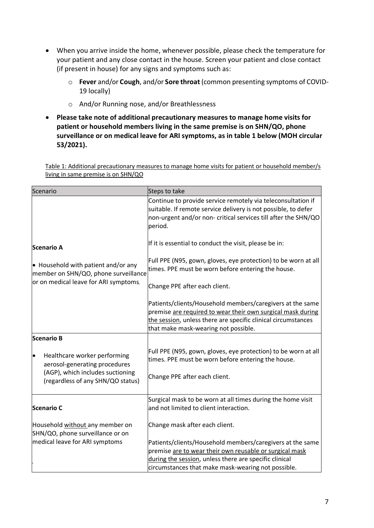- When you arrive inside the home, whenever possible, please check the temperature for your patient and any close contact in the house. Screen your patient and close contact (if present in house) for any signs and symptoms such as:
	- o **Fever** and/or **Cough**, and/or **Sore throat** (common presenting symptoms of COVID-19 locally)
	- o And/or Running nose, and/or Breathlessness
- **Please take note of additional precautionary measures to manage home visits for patient or household members living in the same premise is on SHN/QO, phone surveillance or on medical leave for ARI symptoms, as in table 1 below (MOH circular 53/2021).**

Table 1: Additional precautionary measures to manage home visits for patient or household member/s living in same premise is on SHN/QO

| Scenario                                                                                                                                            | Steps to take                                                                                                                                                                                                                        |  |
|-----------------------------------------------------------------------------------------------------------------------------------------------------|--------------------------------------------------------------------------------------------------------------------------------------------------------------------------------------------------------------------------------------|--|
|                                                                                                                                                     | Continue to provide service remotely via teleconsultation if<br>suitable. If remote service delivery is not possible, to defer<br>non-urgent and/or non- critical services till after the SHN/QO<br>period.                          |  |
| <b>Scenario A</b><br>$\bullet$ Household with patient and/or any<br>member on SHN/QO, phone surveillance<br>or on medical leave for ARI symptoms.   | If it is essential to conduct the visit, please be in:                                                                                                                                                                               |  |
|                                                                                                                                                     | Full PPE (N95, gown, gloves, eye protection) to be worn at all<br>times. PPE must be worn before entering the house.                                                                                                                 |  |
|                                                                                                                                                     | Change PPE after each client.                                                                                                                                                                                                        |  |
|                                                                                                                                                     | Patients/clients/Household members/caregivers at the same<br>premise are required to wear their own surgical mask during<br>the session, unless there are specific clinical circumstances<br>that make mask-wearing not possible.    |  |
| Scenario B                                                                                                                                          |                                                                                                                                                                                                                                      |  |
| Healthcare worker performing<br>$\bullet$<br>aerosol-generating procedures<br>(AGP), which includes suctioning<br>(regardless of any SHN/QO status) | Full PPE (N95, gown, gloves, eye protection) to be worn at all<br>times. PPE must be worn before entering the house.                                                                                                                 |  |
|                                                                                                                                                     | Change PPE after each client.                                                                                                                                                                                                        |  |
| Scenario C                                                                                                                                          | Surgical mask to be worn at all times during the home visit<br>and not limited to client interaction.                                                                                                                                |  |
| Household without any member on<br>SHN/QO, phone surveillance or on                                                                                 | Change mask after each client.                                                                                                                                                                                                       |  |
| medical leave for ARI symptoms                                                                                                                      | Patients/clients/Household members/caregivers at the same<br>premise are to wear their own reusable or surgical mask<br>during the session, unless there are specific clinical<br>circumstances that make mask-wearing not possible. |  |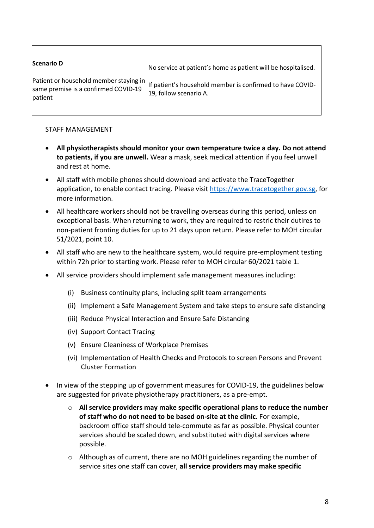| <b>Scenario D</b>                                                                         | No service at patient's home as patient will be hospitalised.                       |
|-------------------------------------------------------------------------------------------|-------------------------------------------------------------------------------------|
| Patient or household member staying in<br>same premise is a confirmed COVID-19<br>patient | If patient's household member is confirmed to have COVID-<br>19, follow scenario A. |

#### STAFF MANAGEMENT

- **All physiotherapists should monitor your own temperature twice a day. Do not attend to patients, if you are unwell.** Wear a mask, seek medical attention if you feel unwell and rest at home.
- All staff with mobile phones should download and activate the TraceTogether application, to enable contact tracing. Please visit https://www.tracetogether.gov.sg, for more information.
- All healthcare workers should not be travelling overseas during this period, unless on exceptional basis. When returning to work, they are required to restric their dutires to non-patient fronting duties for up to 21 days upon return. Please refer to MOH circular 51/2021, point 10.
- All staff who are new to the healthcare system, would require pre-employment testing within 72h prior to starting work. Please refer to MOH circular 60/2021 table 1.
- All service providers should implement safe management measures including:
	- (i) Business continuity plans, including split team arrangements
	- (ii) Implement a Safe Management System and take steps to ensure safe distancing
	- (iii) Reduce Physical Interaction and Ensure Safe Distancing
	- (iv) Support Contact Tracing
	- (v) Ensure Cleaniness of Workplace Premises
	- (vi) Implementation of Health Checks and Protocols to screen Persons and Prevent Cluster Formation
- In view of the stepping up of government measures for COVID-19, the guidelines below are suggested for private physiotherapy practitioners, as a pre-empt.
	- o **All service providers may make specific operational plans to reduce the number of staff who do not need to be based on-site at the clinic.** For example, backroom office staff should tele-commute as far as possible. Physical counter services should be scaled down, and substituted with digital services where possible.
	- $\circ$  Although as of current, there are no MOH guidelines regarding the number of service sites one staff can cover, **all service providers may make specific**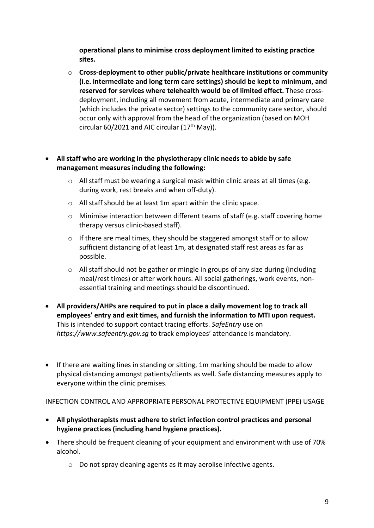**operational plans to minimise cross deployment limited to existing practice sites.**

- o **Cross-deployment to other public/private healthcare institutions or community (i.e. intermediate and long term care settings) should be kept to minimum, and reserved for services where telehealth would be of limited effect.** These crossdeployment, including all movement from acute, intermediate and primary care (which includes the private sector) settings to the community care sector, should occur only with approval from the head of the organization (based on MOH circular 60/2021 and AIC circular  $(17<sup>th</sup>$  May)).
- **All staff who are working in the physiotherapy clinic needs to abide by safe management measures including the following:**
	- o All staff must be wearing a surgical mask within clinic areas at all times (e.g. during work, rest breaks and when off-duty).
	- o All staff should be at least 1m apart within the clinic space.
	- $\circ$  Minimise interaction between different teams of staff (e.g. staff covering home therapy versus clinic-based staff).
	- $\circ$  If there are meal times, they should be staggered amongst staff or to allow sufficient distancing of at least 1m, at designated staff rest areas as far as possible.
	- o All staff should not be gather or mingle in groups of any size during (including meal/rest times) or after work hours. All social gatherings, work events, nonessential training and meetings should be discontinued.
- **All providers/AHPs are required to put in place a daily movement log to track all employees' entry and exit times, and furnish the information to MTI upon request.** This is intended to support contact tracing efforts. *SafeEntry* use on *https://www.safeentry.gov.sg* to track employees' attendance is mandatory.
- If there are waiting lines in standing or sitting, 1m marking should be made to allow physical distancing amongst patients/clients as well. Safe distancing measures apply to everyone within the clinic premises.

### INFECTION CONTROL AND APPROPRIATE PERSONAL PROTECTIVE EQUIPMENT (PPE) USAGE

- **All physiotherapists must adhere to strict infection control practices and personal hygiene practices (including hand hygiene practices).**
- There should be frequent cleaning of your equipment and environment with use of 70% alcohol.
	- o Do not spray cleaning agents as it may aerolise infective agents.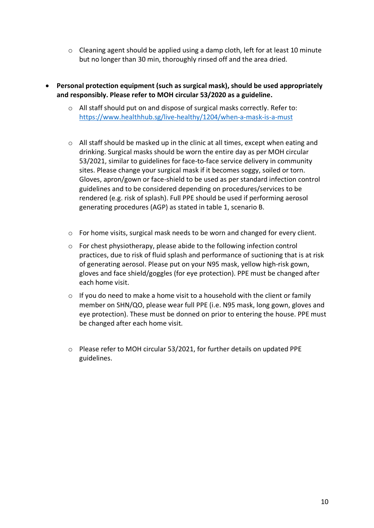- $\circ$  Cleaning agent should be applied using a damp cloth, left for at least 10 minute but no longer than 30 min, thoroughly rinsed off and the area dried.
- **Personal protection equipment (such as surgical mask), should be used appropriately and responsibly. Please refer to MOH circular 53/2020 as a guideline.**
	- $\circ$  All staff should put on and dispose of surgical masks correctly. Refer to: https://www.healthhub.sg/live-healthy/1204/when-a-mask-is-a-must
	- o All staff should be masked up in the clinic at all times, except when eating and drinking. Surgical masks should be worn the entire day as per MOH circular 53/2021, similar to guidelines for face-to-face service delivery in community sites. Please change your surgical mask if it becomes soggy, soiled or torn. Gloves, apron/gown or face-shield to be used as per standard infection control guidelines and to be considered depending on procedures/services to be rendered (e.g. risk of splash). Full PPE should be used if performing aerosol generating procedures (AGP) as stated in table 1, scenario B.
	- $\circ$  For home visits, surgical mask needs to be worn and changed for every client.
	- $\circ$  For chest physiotherapy, please abide to the following infection control practices, due to risk of fluid splash and performance of suctioning that is at risk of generating aerosol. Please put on your N95 mask, yellow high-risk gown, gloves and face shield/goggles (for eye protection). PPE must be changed after each home visit.
	- $\circ$  If you do need to make a home visit to a household with the client or family member on SHN/QO, please wear full PPE (i.e. N95 mask, long gown, gloves and eye protection). These must be donned on prior to entering the house. PPE must be changed after each home visit.
	- o Please refer to MOH circular 53/2021, for further details on updated PPE guidelines.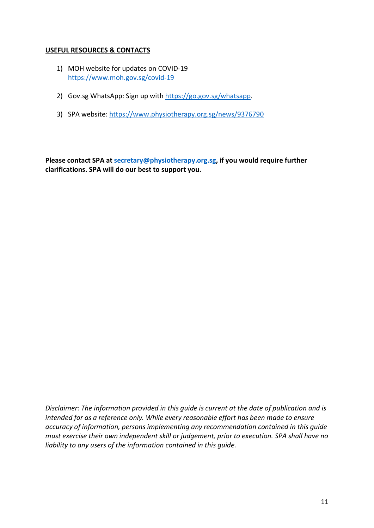#### **USEFUL RESOURCES & CONTACTS**

- 1) MOH website for updates on COVID-19 https://www.moh.gov.sg/covid-19
- 2) Gov.sg WhatsApp: Sign up with https://go.gov.sg/whatsapp.
- 3) SPA website: https://www.physiotherapy.org.sg/news/9376790

**Please contact SPA at secretary@physiotherapy.org.sg, if you would require further clarifications. SPA will do our best to support you.** 

*Disclaimer: The information provided in this guide is current at the date of publication and is intended for as a reference only. While every reasonable effort has been made to ensure accuracy of information, persons implementing any recommendation contained in this guide must exercise their own independent skill or judgement, prior to execution. SPA shall have no liability to any users of the information contained in this guide.*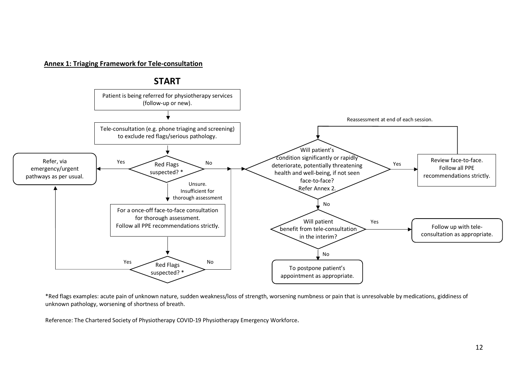#### **Annex 1: Triaging Framework for Tele-consultation**



\*Red flags examples: acute pain of unknown nature, sudden weakness/loss of strength, worsening numbness or pain that is unresolvable by medications, giddiness of unknown pathology, worsening of shortness of breath.

Reference: The Chartered Society of Physiotherapy COVID-19 Physiotherapy Emergency Workforce.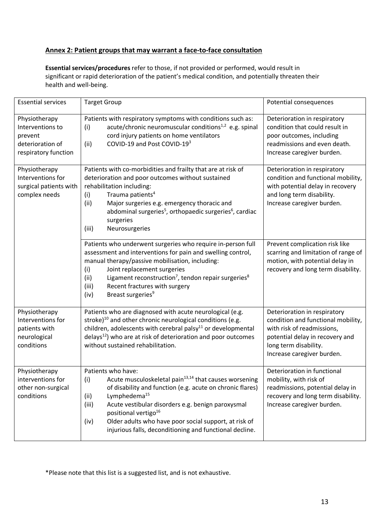#### **Annex 2: Patient groups that may warrant a face-to-face consultation**

**Essential services/procedures** refer to those, if not provided or performed, would result in significant or rapid deterioration of the patient's medical condition, and potentially threaten their health and well-being.

| <b>Essential services</b>                                                                | <b>Target Group</b>                                                                                                                                                                                                                                                                                                                                                                                                           | Potential consequences                                                                                                                                                                     |
|------------------------------------------------------------------------------------------|-------------------------------------------------------------------------------------------------------------------------------------------------------------------------------------------------------------------------------------------------------------------------------------------------------------------------------------------------------------------------------------------------------------------------------|--------------------------------------------------------------------------------------------------------------------------------------------------------------------------------------------|
| Physiotherapy<br>Interventions to<br>prevent<br>deterioration of<br>respiratory function | Patients with respiratory symptoms with conditions such as:<br>acute/chronic neuromuscular conditions <sup>1,2</sup> e.g. spinal<br>(i)<br>cord injury patients on home ventilators<br>COVID-19 and Post COVID-193<br>(ii)                                                                                                                                                                                                    | Deterioration in respiratory<br>condition that could result in<br>poor outcomes, including<br>readmissions and even death.<br>Increase caregiver burden.                                   |
| Physiotherapy<br>Interventions for<br>surgical patients with<br>complex needs            | Patients with co-morbidities and frailty that are at risk of<br>deterioration and poor outcomes without sustained<br>rehabilitation including:<br>Trauma patients <sup>4</sup><br>(i)<br>(ii)<br>Major surgeries e.g. emergency thoracic and<br>abdominal surgeries <sup>5</sup> , orthopaedic surgeries <sup>6</sup> , cardiac<br>surgeries<br>(iii)<br>Neurosurgeries                                                       | Deterioration in respiratory<br>condition and functional mobility,<br>with potential delay in recovery<br>and long term disability.<br>Increase caregiver burden.                          |
|                                                                                          | Patients who underwent surgeries who require in-person full<br>assessment and interventions for pain and swelling control,<br>manual therapy/passive mobilisation, including:<br>Joint replacement surgeries<br>(i)<br>Ligament reconstruction <sup>7</sup> , tendon repair surgeries <sup>8</sup><br>(ii)<br>Recent fractures with surgery<br>(iii)<br>Breast surgeries <sup>9</sup><br>(iv)                                 | Prevent complication risk like<br>scarring and limitation of range of<br>motion, with potential delay in<br>recovery and long term disability.                                             |
| Physiotherapy<br>Interventions for<br>patients with<br>neurological<br>conditions        | Patients who are diagnosed with acute neurological (e.g.<br>stroke) <sup>10</sup> and other chronic neurological conditions (e.g.<br>children, adolescents with cerebral palsy <sup>11</sup> or developmental<br>$delays12$ ) who are at risk of deterioration and poor outcomes<br>without sustained rehabilitation.                                                                                                         | Deterioration in respiratory<br>condition and functional mobility,<br>with risk of readmissions,<br>potential delay in recovery and<br>long term disability.<br>Increase caregiver burden. |
| Physiotherapy<br>interventions for<br>other non-surgical<br>conditions                   | Patients who have:<br>(i)<br>Acute musculoskeletal pain <sup>13,14</sup> that causes worsening<br>of disability and function (e.g. acute on chronic flares)<br>Lymphedema <sup>15</sup><br>(ii)<br>Acute vestibular disorders e.g. benign paroxysmal<br>(iii)<br>positional vertigo <sup>16</sup><br>Older adults who have poor social support, at risk of<br>(iv)<br>injurious falls, deconditioning and functional decline. | Deterioration in functional<br>mobility, with risk of<br>readmissions, potential delay in<br>recovery and long term disability.<br>Increase caregiver burden.                              |

\*Please note that this list is a suggested list, and is not exhaustive.